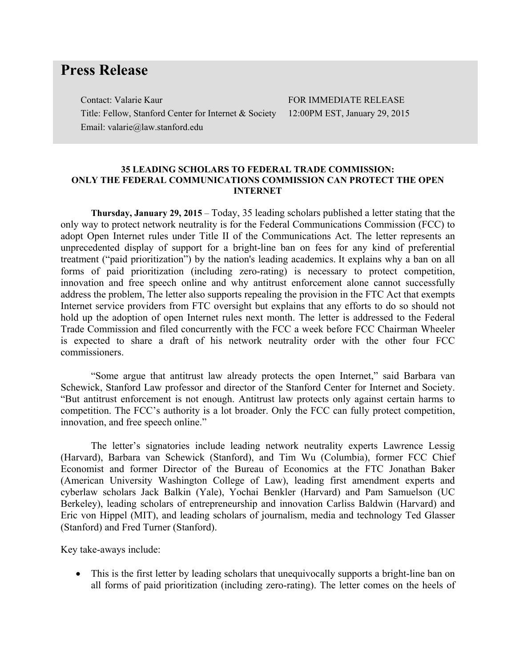## **Press Release**

Contact: Valarie Kaur Title: Fellow, Stanford Center for Internet & Society Email: valarie@law.stanford.edu

FOR IMMEDIATE RELEASE 12:00PM EST, January 29, 2015

## **35 LEADING SCHOLARS TO FEDERAL TRADE COMMISSION: ONLY THE FEDERAL COMMUNICATIONS COMMISSION CAN PROTECT THE OPEN INTERNET**

**Thursday, January 29, 2015** – Today, 35 leading scholars published a letter stating that the only way to protect network neutrality is for the Federal Communications Commission (FCC) to adopt Open Internet rules under Title II of the Communications Act. The letter represents an unprecedented display of support for a bright-line ban on fees for any kind of preferential treatment ("paid prioritization") by the nation's leading academics. It explains why a ban on all forms of paid prioritization (including zero-rating) is necessary to protect competition, innovation and free speech online and why antitrust enforcement alone cannot successfully address the problem, The letter also supports repealing the provision in the FTC Act that exempts Internet service providers from FTC oversight but explains that any efforts to do so should not hold up the adoption of open Internet rules next month. The letter is addressed to the Federal Trade Commission and filed concurrently with the FCC a week before FCC Chairman Wheeler is expected to share a draft of his network neutrality order with the other four FCC commissioners.

"Some argue that antitrust law already protects the open Internet," said Barbara van Schewick, Stanford Law professor and director of the Stanford Center for Internet and Society. "But antitrust enforcement is not enough. Antitrust law protects only against certain harms to competition. The FCC's authority is a lot broader. Only the FCC can fully protect competition, innovation, and free speech online."

The letter's signatories include leading network neutrality experts Lawrence Lessig (Harvard), Barbara van Schewick (Stanford), and Tim Wu (Columbia), former FCC Chief Economist and former Director of the Bureau of Economics at the FTC Jonathan Baker (American University Washington College of Law), leading first amendment experts and cyberlaw scholars Jack Balkin (Yale), Yochai Benkler (Harvard) and Pam Samuelson (UC Berkeley), leading scholars of entrepreneurship and innovation Carliss Baldwin (Harvard) and Eric von Hippel (MIT), and leading scholars of journalism, media and technology Ted Glasser (Stanford) and Fred Turner (Stanford).

Key take-aways include:

• This is the first letter by leading scholars that unequivocally supports a bright-line ban on all forms of paid prioritization (including zero-rating). The letter comes on the heels of